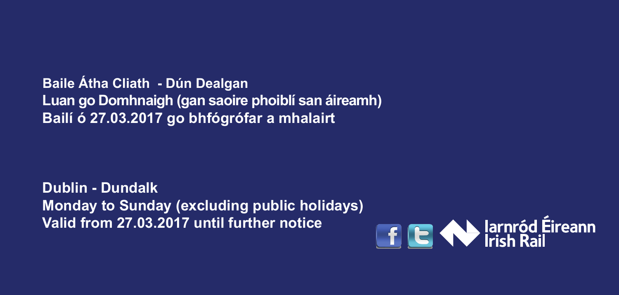**Baile Átha Cliath - Dún Dealgan Luan go Domhnaigh (gan saoire phoiblí san áireamh) Bailí ó 27.03.2017 go bhfógrófar a mhalairt**

**Dublin - Dundalk Monday to Sunday (excluding public holidays) Valid from 27.03.2017 until further notice**

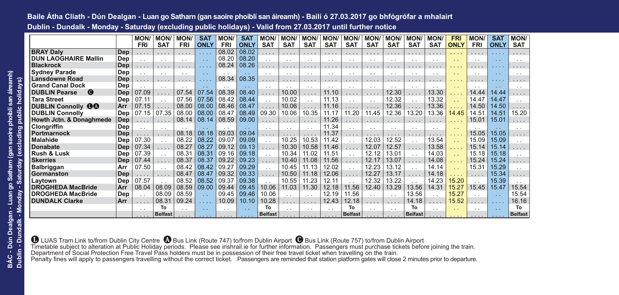# **Baile Átha Cliath - Dún Dealgan - Luan go Satharn (gan saoire phoiblí san áireamh) - Bailí ó 27.03.2017 go bhfógrófar a mhalairt Dublin - Dundalk - Monday - Saturday (excluding public holidays) - Valid from 27.03.2017 until further notice**

|                                               |     | MON/            | <b>MON</b>      | <b>MON/</b>     | <b>SAT</b>                                   | <b>MON/</b>     | <b>SAT</b>  | <b>MON/</b>     | <b>MON/</b> | <b>MON</b>      | <b>MON</b>      | <b>MON/</b>          | <b>MON</b>      | <b>MON</b>      | <b>MON/</b>          | <b>MON/</b>     | <b>FRI</b>  | <b>MON</b>      | <b>SAT</b>  | <b>MON/</b>    |
|-----------------------------------------------|-----|-----------------|-----------------|-----------------|----------------------------------------------|-----------------|-------------|-----------------|-------------|-----------------|-----------------|----------------------|-----------------|-----------------|----------------------|-----------------|-------------|-----------------|-------------|----------------|
|                                               |     | <b>FRI</b>      | <b>SAT</b>      | <b>FRI</b>      | <b>ONL</b>                                   | <b>FRI</b>      | <b>ONLY</b> | <b>SAT</b>      | <b>SAT</b>  | <b>SAT</b>      | <b>SAT</b>      | <b>SAT</b>           | <b>SAT</b>      | <b>SAT</b>      | <b>SAT</b>           | <b>SAT</b>      | <b>ONLY</b> | <b>FRI</b>      | <b>ONLY</b> | <b>SAT</b>     |
| <b>BRAY Dalv</b>                              | Dep | .               | .               | $\cdots$        | $\mathbf{r}$ , $\mathbf{r}$ , $\mathbf{r}$ , | 08.02           | 08.02       | .               | $\cdots$    | .               | .               | $\cdots$             | .               | $\cdots$        | $\cdots$             | $\cdots$        | .           | .               | .           | $\cdots$       |
| <b>DUN LAOGHAIRE Mallin</b>                   | Dep | . .             | $\cdot$ $\cdot$ | $\cdot$ $\cdot$ | $\sim$                                       | 08.20           | 08.20       | $\cdot$ .       | $\cdot$ .   | $\cdot$ $\cdot$ | $\cdot$ $\cdot$ | $\cdot$ .            | $\cdot$ .       | $\sim$          | $\cdot$ $\cdot$      | $\cdot$ .       | $\sim$      |                 | $\sim$      | $\sim$         |
| <b>Blackrock</b>                              | Dep | .               |                 | .               |                                              | 08.24           | 08.26       | .               | 1.1.1       | .               | .               | .                    | 1.1.1           | .               | $\cdots$             | $\cdots$        |             |                 | .           |                |
| <b>Sydney Parade</b>                          | Dep | $\cdot$ $\cdot$ | $\sim$          | $\cdot$ $\cdot$ | $\sim$                                       | $\cdot$ .       | $\sim$      | $\cdot$ .       |             | $\cdot$ $\cdot$ | $\cdot$ .       | $\sim$               | $\cdot$ .       | $\sim$          | $\cdot$ .            | . .             |             |                 | $\sim$      | $\sim$         |
| Lansdowne Road                                | Dep | .               | .               | $\cdots$        |                                              | 08.34           | 08.35       | .               | $\cdots$    | .               | .               | $\cdots$             | .               | .               | .                    | $\cdots$        | $\cdots$    | .               | .           | $\cdots$       |
| <b>Grand Canal Dock</b>                       | Dep | . .             | $\cdot$ $\cdot$ | $\cdot$ $\cdot$ | $\sim$                                       |                 | $\sim$      | $\cdot$ $\cdot$ |             | $\cdot$ $\cdot$ | $\cdot$ $\cdot$ | $\sim$               | $\cdot$ $\cdot$ | $\cdot$ $\cdot$ | $\cdot$ .            | $\cdot$ $\cdot$ |             |                 | $\sim$      | $\sim$         |
| <b>DUBLIN Pearse</b><br>$\boldsymbol{\Theta}$ | Dep | 07.09           |                 | 07.54           | 07.54                                        | 08.39           | 08.40       | .               | 10.00       | .               | 11.10           | .                    | $\cdots$        | 12.30           | .                    | 13.30           |             | 14.44           | 14.44       | .              |
| <b>Tara Street</b>                            | Dep | 07.11           | $\cdot$ .       | 07.56           | 07.56                                        | 08.42           | 08.44       | $\cdot$ .       | 10.02       | $\cdot$ $\cdot$ | 11.13           | $\sim$               | $\cdot$ $\cdot$ | 12.32           | $\cdot$ $\cdot$      | 13.32           |             | 14.47           | 14.47       | $\sim$         |
| <b>DUBLIN Connolly OO</b>                     | Arr | 07.15           |                 | 08.00           | 08.00                                        | 08.46           | 08.47       | .               | 10.06       | .               | 11.16           | .                    | .               | 12.36           | .                    | 13.36           | .           | 14.50           | 14.50       | 1.1.1          |
| <b>DUBLIN Connolly</b>                        | Dep | 07.15           | 07.35           | 08.00           | 08.00                                        | 08.47           | 08.49       | 09.30           | 10.06       | 10.35           | 11.17           | 11.20                | 11.45           | 12.36           | 3.20                 | 13.36           | 14.45       | 14.51           | 14.51       | 15.20          |
| Howth Jctn. & Donaghmede                      | Dep |                 | .               | 08.14           | 08.14                                        | 08.59           | 09.00       | .               | $\cdots$    | .               | 11.26           | .                    | .               | .               | .                    | .               | 1.1.1       | 15.01           | 15.01       | $\cdots$       |
| <b>Clongriffin</b>                            | Dep | . .             | $\cdot$ .       | $\sim$          | $\sim$ $\sim$                                | $\cdot$ $\cdot$ | $\sim$      | $\cdot$ $\cdot$ | $\sim$      | $\cdot$ $\cdot$ | 11.34           | $\ddot{\phantom{0}}$ | $\cdot$ $\cdot$ | $\cdot$ $\cdot$ | $\cdot$ .            | $\cdot$ $\cdot$ | $\sim$      |                 | $\sim$      | $\cdot$ .      |
| Portmarnock                                   | Dep | .               |                 | 08.18           | 08.18                                        | 09.03           | 09.04       | .               | 1.1.1       |                 | 11.37           | .                    |                 | .               | 1.1.1                |                 | .           | 15.05           | 15.05       | 1.1.1          |
| Malahide                                      | Dep | 07.30           | $\cdot$ .       | 08.22           | 08.22                                        | 09.07           | 09.09       | $\cdot$ .       | 10.25       | 10.53           | 11.42           | $\sim$               | 12.03           | 12.52           | $\ddot{\phantom{0}}$ | 13.54           |             | 15.09           | 15.09       | $\sim$         |
| <b>Donabate</b>                               | Dep | 07.34           | .               | 08.27           | 08.27                                        | 09.12           | 09.13       | .               | 10.30       | 10.58           | 11.46           | .                    | 12.07           | 12.57           | .                    | 13.58           |             | 15.14           | 15.14       | .              |
| Rush & Lusk                                   | Dep | 07.39           | $\cdot$ $\cdot$ | 08.31           | 08.31                                        | 09.16           | 09.18       |                 | 10.34       | 11.02           | 11.51           | $\ddot{\phantom{0}}$ | 12.12           | 13.01           | $\ddot{\phantom{0}}$ | 14.03           |             | 15.18           | 15.18       | $\sim$         |
| <b>Skerries</b>                               | Dep | 07.44           |                 | 08.37           | 08.37                                        | 09.22           | 09.23       | .               | 10.40       | 11.08           | 11.56           | .                    | 12.17           | 13.07           | .                    | 14.08           |             | 15.24           | 15.24       | .              |
| <b>Balbriggan</b>                             | Arr | 07.50           | $\cdot$ .       | 08.42           | 08.42                                        | 09.27           | 09.29       | $\cdot$ .       | 10.45       | 11.13           | 12.02           | . .                  | 12.23           | 13.12           | $\ddot{\phantom{a}}$ | 14.14           |             | 15.31           | 15.29       | $\cdot$ .      |
| Gormanston                                    | Dep |                 |                 | 08.47           | 08.47                                        | 09.32           | 09.33       | .               | 10.50       | 11.18           | 12.06           | .                    | 12.27           | 13.17           | .                    | 14.18           |             | .               | 15.34       | 1.1.1          |
| Laytown                                       | Dep | 07.57           |                 | 08.52           | 08.52                                        | 09.37           | 09.38       |                 | 10.55       | 11.23           | 12.11           | $\cdot$ .            | 12.32           | 13.22           |                      | 14.23           | 15.20       |                 | 15.39       | $\cdot$ .      |
| <b>DROGHEDA MacBride</b>                      | Arr | 08.04           | 08.09           | 08.59           | 09.00                                        | 09.44           | 09.45       | 10.06           | 11.03       | 11.30           | 12.18           | 11.56                | 12.40           | 13.29           | 13.56                | 14.31           | 15.27       | 15.45           | 15.47       | 15.54          |
| <b>DROGHEDA MacBride</b>                      | Dep |                 | 08.09           | 08.59           | $\sim$                                       | 09.45           | 09.46       | 10.06           |             |                 | 12.19           | 11.56                | $\cdot$ .       | $\sim$          | 13.56                | $\cdot$ .       | 15.27       |                 | $\sim$      | 15.54          |
| <b>DUNDALK Clarke</b>                         | Arr | $\cdots$        | 08.31           | 09.24           | 1.1.1                                        | 10.09           | 10.10       | 10.28           | .           |                 | 12.43           | 12.18                | .               | .               | 14.18                | $\cdots$        | 15.52       |                 | .           | 16.16          |
|                                               |     |                 | То              | $\cdot$ $\cdot$ | $\sim$                                       | $\sim$          | $\sim$      | To              |             | $\cdot$ $\cdot$ | $\cdot$ $\cdot$ | Т٥                   | $\cdot$ $\cdot$ | $\sim$          | To                   | $\cdot$ .       | $\sim$      | $\cdot$ $\cdot$ | $\sim$      | To             |
|                                               |     |                 | <b>Belfast</b>  |                 |                                              |                 |             | <b>Belfast</b>  |             |                 |                 | <b>Belfast</b>       |                 |                 | <b>Belfast</b>       |                 |             |                 |             | <b>Belfast</b> |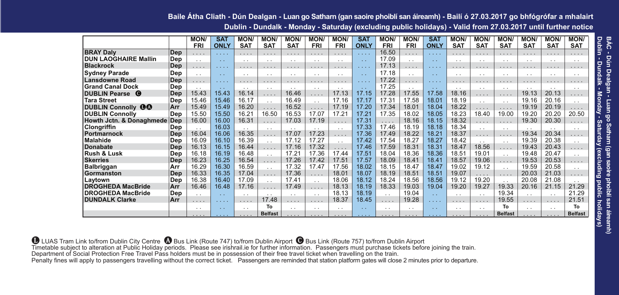### **Baile Átha Cliath - Dún Dealgan - Luan go Satharn (gan saoire phoiblí san áireamh) - Bailí ó 27.03.2017 go bhfógrófar a mhalairt Dublin - Dundalk - Monday - Saturday (excluding public holidays) - Valid from 27.03.2017 until further notice**

|                                     |     | <b>MON/</b> | <b>SAT</b>                                                                       | <b>MON</b>      | <b>MON</b>      | <b>MON</b>                  | <b>MON</b>           | <b>MON/</b>     | <b>SAT</b>                                                         | <b>MON/</b>     | <b>MON/</b>     | <b>SAT</b>    | <b>MON/</b>     | <b>MON</b>      | <b>MON</b>           | <b>MON</b>      | <b>MON/</b>          | <b>MON/</b>             |
|-------------------------------------|-----|-------------|----------------------------------------------------------------------------------|-----------------|-----------------|-----------------------------|----------------------|-----------------|--------------------------------------------------------------------|-----------------|-----------------|---------------|-----------------|-----------------|----------------------|-----------------|----------------------|-------------------------|
|                                     |     | <b>FRI</b>  | <b>ONLY</b>                                                                      | <b>SAT</b>      | <b>SAT</b>      | <b>SAT</b>                  | <b>FRI</b>           | <b>FRI</b>      | <b>ONLY</b>                                                        | <b>FRI</b>      | <b>FRI</b>      | <b>ONLY</b>   | <b>SAT</b>      | <b>SAT</b>      | <b>SAT</b>           | <b>SAT</b>      | <b>SAT</b>           | <b>SAT</b>              |
| <b>BRAY Dalv</b>                    | Dep | .           | $\mathbf{1} \cdot \mathbf{1} \cdot \mathbf{1} \cdot \mathbf{1} \cdot \mathbf{1}$ | .               | .               | .                           | .                    | .               | $\mathbf{1} \times \mathbf{1} \times \mathbf{1} \times \mathbf{1}$ | 16.50           | .               |               | .               | .               | $\cdots$             | .               | $\cdots$             | .                       |
| <b>DUN LAOGHAIRE Mallin</b>         | Dep | $\sim$      | $\sim$                                                                           | $\cdot$ $\cdot$ | $\cdot$ $\cdot$ | $\cdot$ $\cdot$             | $\sim$               | $\cdot$ $\cdot$ | $\sim$                                                             | 17.09           | $\cdot$ .       | $\sim$ $\sim$ | $\cdot$ $\cdot$ | $\cdot$ $\cdot$ | $\sim$               | $\cdot$ .       | $\sim$               | $\cdot$ $\cdot$         |
| <b>Blackrock</b>                    | Dep | .           | 1.1.1.1                                                                          | .               | $\cdots$        | $\sim$ $\sim$ $\sim$ $\sim$ | 1.1.1                | .               | 1.1.1.1                                                            | 17.13           | .               | 1.1.1.1       |                 | $\cdots$        | $\cdots$             | 1.1.1           | $\cdots$             |                         |
| <b>Sydney Parade</b>                | Dep | $\sim$      | $\sim$                                                                           | $\cdot$ .       | $\cdot$ $\cdot$ | $\cdot$ .                   | $\cdots$             | $\cdot$ .       | $\sim$                                                             | 17.18           | $\cdot$ .       | $\sim$ $\sim$ | $\cdot$ $\cdot$ | $\sim$          | $\ddot{\phantom{0}}$ | $\cdot$ $\cdot$ | $\sim$               | $\cdot$ .               |
| <b>Lansdowne Road</b>               | Dep | 1.1.1       | 1.1.1.1                                                                          | 1.1.1           | 1.1.1           | $\cdots$                    | 1.1.1                | .               | 1.1.1                                                              | 17.22           | .               | 1.1.1         | 1.1.1           | 1.1.1           | 1.1.1                |                 | 1.1.1                | .                       |
| <b>Grand Canal Dock</b>             | Dep | $\sim$      | $\sim$                                                                           | $\cdot$ $\cdot$ | $\cdot$ .       | $\cdot$ .                   | $\cdot$ .            | $\cdot$ $\cdot$ | $\sim$                                                             | 17.25           | $\cdot$ $\cdot$ | $\sim$        | $\cdot$ $\cdot$ | $\cdot$ $\cdot$ | $\cdot$ $\cdot$      | $\cdot$ $\cdot$ | $\sim$               | $\cdot$ .               |
| <b>DUBLIN Pearse @</b>              | Dep | 15.43       | 15.43                                                                            | 16.14           | .               | 16.46                       | .                    | 17.13           | 17.15                                                              | 17.28           | 17.55           | 17.58         | 18.16           | 1.1.1           | $\cdots$             | 19.13           | 20.13                | .                       |
| <b>Tara Street</b>                  | Dep | 15.46       | 15.46                                                                            | 16.17           | $\cdot$ $\cdot$ | 16.49                       | $\ddotsc$            | 17.16           | 17.17                                                              | 17.31           | 17.58           | 18.01         | 18.19           | $\cdot$ $\cdot$ | $\ddot{\phantom{0}}$ | 19.16           | 20.16                | $\cdot$ $\cdot$         |
| $\bf{00}$<br><b>DUBLIN Connolly</b> | Arr | 15.49       | 15.49                                                                            | 16.20           | .               | 16.52                       | .                    | 17.19           | 17.20                                                              | 17.34           | 18.01           | 18.04         | 18.22           | .               | .                    | 19.19           | 20.19                | .                       |
| <b>DUBLIN Connolly</b>              | Dep | 15.50       | 15.50                                                                            | 16.21           | 16.50           | 16.53                       | 17.07                | 17.21           | 17.21                                                              | 17.35           | 18.02           | 18.05         | 18.23           | 18.40           | 19.00                | 19.20           | 20.20                | 20.50                   |
| Howth Jctn. & Donaghmede Dep        |     | 16.00       | 16.00                                                                            | 16.31           | .               | 17.03                       | 17.19                | $\cdots$        | 17.31                                                              | $\cdots$        | 18.16           | 18.15         | 18.32           | .               | .                    | 19.30           | 20.30                | .                       |
| Clongriffin                         | Dep | $\ddotsc$   | 16.03                                                                            | $\cdot$ $\cdot$ | $\cdot$ $\cdot$ | $\cdot$ .                   | $\sim$               | $\cdot$ .       | 17.33                                                              | 17.46           | 18.19           | 18.18         | 18.34           | $\cdot$ $\cdot$ | $\cdot$ $\cdot$      | $\cdot$ .       | $\sim$               | $\cdot$ .               |
| Portmarnock                         | Dep | 16.04       | 16.06                                                                            | 16.35           | .               | 17.07                       | 17.23                | .               | 17.36                                                              | 17.49           | 18.22           | 18.21         | 18.37           | .               | $\cdots$             | 19.34           | 20.34                | .                       |
| Malahide                            | Dep | 16.09       | 16.10                                                                            | 16.39           | $\sim$          | 17.12                       | 17.27                | $\cdot$ $\cdot$ | 17.42                                                              | 17.54           | 18.27           | 18.27         | 18.42           | $\cdot$ $\cdot$ | $\sim$               | 19.39           | 20.38                | $\cdot$ $\cdot$         |
| Donabate                            | Dep | 16.13       | 16.15                                                                            | 16.44           | .               | 17.16                       | 17.32                | .               | 17.46                                                              | 17.59           | 18.31           | 18.31         | 18.47           | 18.56           | $\cdots$             | 19.43           | 20.43                | $\cdot$ $\cdot$ $\cdot$ |
| Rush & Lusk                         | Dep | 16.18       | 16.19                                                                            | 16.48           | $\sim$          | 17.21                       | 17.36                | 17.44           | 17.51                                                              | 18.04           | 18.36           | 18.36         | 18.51           | 19.01           | $\ddot{\phantom{0}}$ | 19.48           | 20.47                | $\cdot$ $\cdot$         |
| <b>Skerries</b>                     | Dep | 16.23       | 16.25                                                                            | 16.54           | .               | 17.26                       | 17.42                | 17.51           | 17.57                                                              | 18.09           | 18.41           | 18.41         | 18.57           | 19.06           | .                    | 19.53           | 20.53                | .                       |
| Balbriggan                          | Arr | 16.29       | 16.30                                                                            | 16.59           | $\sim$          | 17.32                       | 17.47                | 17.56           | 18.02                                                              | 18.15           | 18.47           | 18.47         | 19.02           | 19.12           | $\ddot{\phantom{0}}$ | 19.59           | 20.58                | $\cdot$ $\cdot$         |
| Gormanston                          | Dep | 16.33       | 16.35                                                                            | 17.04           | .               | 17.36                       | $\cdots$             | 18.01           | 18.07                                                              | 18.19           | 18.51           | 18.51         | 19.07           | .               | $\cdots$             | 20.03           | 21.03                | .                       |
| Laytown                             | Dep | 16.38       | 16.40                                                                            | 17.09           | $\cdot$ .       | 17.41                       | $\ddotsc$            | 18.06           | 18.12                                                              | 18.24           | 18.56           | 18.56         | 19.12           | 19.20           | $\sim$               | 20.08           | 21.08                |                         |
| <b>DROGHEDA MacBride</b>            | Arr | 16.46       | 16.48                                                                            | 17.16           | 1.1.1           | 17.49                       | 1.1.1                | 18.13           | 18.19                                                              | 18.33           | 19.03           | 19.04         | 19.20           | 19.27           | 19.33                | 20.16           | 21.15                | 21.29                   |
| <b>DROGHEDA MacBride</b>            | Dep | $\sim$      | $\sim$                                                                           | $\cdot$ .       | . .             | $\cdot$ .                   | $\cdot$ .            | 18.13           | 18.19                                                              | $\sim$          | 19.04           | $\sim$        | $\cdot$ $\cdot$ | $\cdot$ $\cdot$ | 19.34                | $\cdot$ $\cdot$ | $\cdot$ $\cdot$      | 21.29                   |
| <b>DUNDALK Clarke</b>               | Arr | $\cdots$    | $\cdots$                                                                         | .               | 17.48           | .                           | $\cdots$             | 18.37           | 18.45                                                              | $\cdots$        | 19.28           | .             | $\cdots$        | $\cdots$        | 19.55                | .               | $\cdots$             | 21.51                   |
|                                     |     | $\sim$      | $\sim$ $\sim$                                                                    | $\cdot$ .       | To              | $\cdot$ $\cdot$             | $\ddot{\phantom{0}}$ | $\cdot$ $\cdot$ | $\sim$                                                             | $\cdot$ $\cdot$ | $\cdot$ $\cdot$ | $\sim$ $\sim$ | $\cdot$ $\cdot$ | $\cdot$ $\cdot$ | To                   | $\cdot$ $\cdot$ | $\ddot{\phantom{0}}$ | To                      |
|                                     |     |             |                                                                                  | .               | <b>Belfast</b>  |                             | .                    | .               | 1.1.1.1                                                            | .               |                 |               |                 |                 | <b>Belfast</b>       |                 |                      | <b>Belfast</b>          |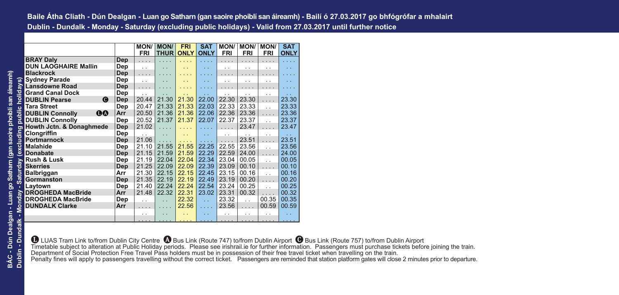|                                               |     | <b>MON/</b>          | <b>MON/</b>          | <b>FRI</b>  | <b>SAT</b>           | <b>MON/</b>          | <b>MON/</b>          | <b>MON/</b>          | <b>SAT</b>           |
|-----------------------------------------------|-----|----------------------|----------------------|-------------|----------------------|----------------------|----------------------|----------------------|----------------------|
|                                               |     | <b>FRI</b>           | <b>THUR</b>          | <b>ONLY</b> | <b>ONLY</b>          | <b>FRI</b>           | <b>FRI</b>           | <b>FRI</b>           | <b>ONLY</b>          |
| <b>BRAY Daly</b>                              | Dep | .                    | .                    |             |                      | .                    | .                    | .                    | .                    |
| <b>DUN LAOGHAIRE Mallin</b>                   | Dep | $\ddotsc$            | . .                  |             | . .                  | $\ddot{\phantom{0}}$ | $\cdot$ .            | . .                  | $\ddot{\phantom{0}}$ |
| <b>Blackrock</b>                              | Dep | .                    |                      |             |                      |                      | $\cdots$             |                      |                      |
| <b>Sydney Parade</b>                          | Dep | . .                  |                      |             |                      | . .                  | . .                  | . .                  |                      |
| <b>Lansdowne Road</b>                         | Dep | .                    |                      |             |                      |                      |                      |                      |                      |
| <b>Grand Canal Dock</b>                       | Dep | $\cdot$ .            |                      |             |                      | . .                  | . .                  | . .                  |                      |
| <b>DUBLIN Pearse</b><br>$\boldsymbol{\Theta}$ | Dep | 20.44                | 21.30                | 21.30       | 22.00                | 22.30                | 23.30                | .                    | 23.30                |
| <b>Tara Street</b>                            | Dep | 20.47                | 21.33                | 21.33       | 22.03                | 22.33                | 23.33                | $\ddot{\phantom{0}}$ | 23.33                |
| <b>DUBLIN Connolly</b><br>00                  | Arr | 20.50                | 21.36                | 21.36       | 22.06                | 22.36                | 23.36                | .                    | 23.36                |
| <b>DUBLIN Connolly</b>                        | Dep | 20.52                | 21.37                | 21.37       | 22.07                | 22.37                | 23.37                | $\ddot{\phantom{a}}$ | 23.37                |
| Howth Jctn. & Donaghmede                      | Dep | 21.02                | .                    |             | .                    | $\cdots$             | 23.47                | .                    | 23.47                |
| Clongriffin                                   | Dep | $\sim$               | $\ddot{\phantom{0}}$ |             | $\ddot{\phantom{0}}$ | $\cdot$ .            | $\cdot$ .            | . .                  | $\ddotsc$            |
| Portmarnock                                   | Dep | 21.06                | .                    | 1.1.1       |                      | .                    | 23.51                | .                    | 23.51                |
| Malahide                                      | Dep | 21.10                | 21.55                | 21.55       | 22.25                | 22.55                | 23.56                | $\ddot{\phantom{a}}$ | 23.56                |
| <b>Donabate</b>                               | Dep | 21.15                | 21.59                | 21.59       | 22.29                | 22.59                | 24.00                | .                    | 24.00                |
| <b>Rush &amp; Lusk</b>                        | Dep | 21.19                | 22.04                | 22.04       | 22.34                | 23.04                | 00.05                | $\ddot{\phantom{0}}$ | 00.05                |
| <b>Skerries</b>                               | Dep | 21.25                | 22.09                | 22.09       | 22.39                | 23.09                | 00.10                | .                    | 00.10                |
| Balbriggan                                    | Arr | 21.30                | 22.15                | 22.15       | 22.45                | 23.15                | 00.16                | $\ddot{\phantom{a}}$ | 00.16                |
| Gormanston                                    | Dep | 21.35                | 22.19                | 22.19       | 22.49                | 23.19                | 00.20                | .                    | 00.20                |
| Laytown                                       | Dep | 21.40                | 22.24                | 22.24       | 22.54                | 23.24                | 00.25                | $\ddot{\phantom{a}}$ | 00.25                |
| <b>DROGHEDA MacBride</b>                      | Arr | 21.48                | 22.32                | 22.31       | 23.02                | 23.31                | 00.32                | .                    | 00.32                |
| <b>DROGHEDA MacBride</b>                      | Dep | $\ddot{\phantom{0}}$ | $\ddot{\phantom{0}}$ | 22.32       | $\mathbb{R}^2$       | 23.32                | $\ddot{\phantom{a}}$ | 00.35                | 00.35                |
| <b>DUNDALK Clarke</b>                         | Arr | .                    |                      | 22.56       | .                    | 23.56                | .                    | 00.59                | 00.59                |
|                                               |     | . .                  |                      |             |                      | . .                  | $\cdot$ .            | . .                  | . .                  |
|                                               |     |                      |                      |             | $\cdots$             | $\cdots$             | .                    |                      |                      |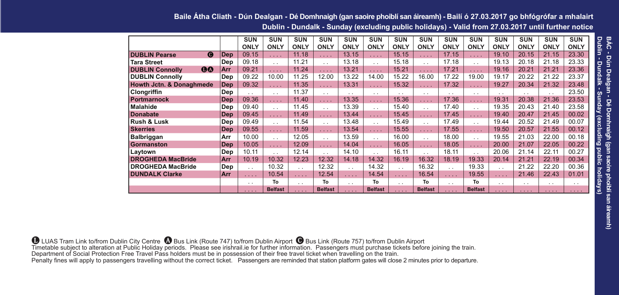#### **Baile Átha Cliath - Dún Dealgan - Dé Domhnaigh (gan saoire phoiblí san áireamh) - Bailí ó 27.03.2017 go bhfógrófar a mhalairt Dublin - Dundalk - Sunday (excluding public holidays) - Valid from 27.03.2017 until further notice**

|                                     |            | <b>SUN</b>      | <b>SUN</b>      | <b>SUN</b>      | <b>SUN</b>      | <b>SUN</b>      | <b>SUN</b>      | <b>SUN</b>      | <b>SUN</b>           | <b>SUN</b>           | <b>SUN</b>      | <b>SUN</b>           | <b>SUN</b>  | <b>SUN</b>      | <b>SUN</b>      |
|-------------------------------------|------------|-----------------|-----------------|-----------------|-----------------|-----------------|-----------------|-----------------|----------------------|----------------------|-----------------|----------------------|-------------|-----------------|-----------------|
|                                     |            | <b>ONLY</b>     | <b>ONLY</b>     | <b>ONLY</b>     | <b>ONLY</b>     | <b>ONLY</b>     | <b>ONLY</b>     | <b>ONLY</b>     | <b>ONLY</b>          | <b>ONLY</b>          | <b>ONLY</b>     | <b>ONLY</b>          | <b>ONLY</b> | <b>ONLY</b>     | <b>ONLY</b>     |
| $\bullet$<br><b>DUBLIN Pearse</b>   | Dep        | 09.15           | 1.1.1           | 11.18           | 1.1.1           | 13.15           | 1.1.1           | 15.15           | 1.1.1                | 17.15                | .               | 19.10                | 20.15       | 21.15           | 23.30           |
| <b>Tara Street</b>                  | Dep        | 09.18           | $\cdot$ $\cdot$ | 11.21           | $\sim$          | 13.18           | $\cdot$ $\cdot$ | 15.18           | $\cdot$ .            | 17.18                | $\cdot$ $\cdot$ | 19.13                | 20.18       | 21.18           | 23.33           |
| <b>OQ</b><br><b>DUBLIN Connolly</b> | Arr        | 09.21           | 1.1.1           | 11.24           | 1.1.1           | 13.21           | .               | 15.21           | 1.1.1                | 17.21                | .               | 19.16                | 20.21       | 21.21           | 23.36           |
| <b>DUBLIN Connolly</b>              | Dep        | 09.22           | 10.00           | 11.25           | 12.00           | 13.22           | 14.00           | 15.22           | 16.00                | 17.22                | 19.00           | 19.17                | 20.22       | 21.22           | 23.37           |
| <b>Howth Jctn. &amp; Donaghmede</b> | Dep        | 09.32           | 1.1.1           | 11.35           | 1.1.1           | 13.31           | $\cdots$        | 15.32           | 1.1.1                | 17.32                | 1.1.1           | 19.27                | 20.34       | 21.32           | 23.48           |
| Clongriffin                         | Dep        | $\cdot$ $\cdot$ | $\cdot$ .       | 11.37           | $\cdot$ .       | $\cdot$ .       | $\cdot$ $\cdot$ | $\sim$          | $\cdot$ $\cdot$      | $\cdot$ $\cdot$      | $\cdot$ $\cdot$ | $\sim$               | $\cdot$ .   | $\cdot$ $\cdot$ | 23.50           |
| <b>Portmarnock</b>                  | Dep        | 09.36           | 1.1.1           | 11.40           | 1.1.1           | 13.35           | .               | 15.36           | 1.1.1                | 17.36                | 1.1.1           | 19.31                | 20.38       | 21.36           | 23.53           |
| <b>Malahide</b>                     | Dep        | 09.40           | $\cdot$ $\cdot$ | 11.45           | $\cdot$ .       | 13.39           | $\cdot$ $\cdot$ | 15.40           | $\ddot{\phantom{0}}$ | 17.40                | $\cdot$ .       | 19.35                | 20.43       | 21.40           | 23.58           |
| <b>Donabate</b>                     | Dep        | 09.45           | .               | 11.49           | .               | 13.44           | .               | 15.45           | $\ldots$ .           | 17.45                | .               | 19.40                | 20.47       | 21.45           | 00.02           |
| Rush & Lusk                         | Dep        | 09.49           | $\cdot$ $\cdot$ | 11.54           | $\cdot$ .       | 13.48           | $\cdot$ $\cdot$ | 15.49           | $\cdot$ $\cdot$      | 17.49                | $\cdot$ .       | 19.44                | 20.52       | 21.49           | 00.07           |
| <b>Skerries</b>                     | Dep        | 09.55           | 1.1.1           | 11.59           | 1.1.1           | 13.54           | .               | 15.55           | 1.1.1                | 17.55                | 1.1.1           | 19.50                | 20.57       | 21.55           | 00.12           |
| Balbriggan                          | Arr        | 10.00           | $\cdot$ $\cdot$ | 12.05           | $\cdot$ .       | 13.59           | $\cdot$ $\cdot$ | 16.00           | $\ddot{\phantom{0}}$ | 18.00                | $\cdot$ .       | 19.55                | 21.03       | 22.00           | 00.18           |
| Gormanston                          | <b>Dep</b> | 10.05           | .               | 12.09           | .               | 14.04           | .               | 16.05           | $\ldots$ .           | 18.05                | 1.1.1           | 20.00                | 21.07       | 22.05           | 00.22           |
| Laytown                             | Dep        | 10.11           | $\cdot$ $\cdot$ | 12.14           | $\cdot$ $\cdot$ | 14.10           | $\cdot$ $\cdot$ | 16.11           | $\cdot$ .            | 18.11                | $\cdot$ $\cdot$ | 20.06                | 21.14       | 22.11           | 00.27           |
| <b>DROGHEDA MacBride</b>            | Arr        | 10.19           | 10.32           | 12.23           | 12.32           | 14.18           | 14.32           | 16.19           | 16.32                | 18.19                | 19.33           | 20.14                | 21.21       | 22.19           | 00.34           |
| <b>DROGHEDA MacBride</b>            | Dep        | $\cdot$ .       | 10.32           | $\sim$          | 12.32           | $\cdot$ $\cdot$ | 14.32           | $\ddotsc$       | 16.32                | $\ddot{\phantom{0}}$ | 19.33           | $\cdot$ .            | 21.22       | 22.20           | 00.36           |
| <b>DUNDALK Clarke</b>               | Arr        | 1.1.1           | 10.54           | 1.1.1           | 12.54           | .               | 14.54           | .               | 16.54                | .                    | 19.55           | $\cdots$             | 21.46       | 22.43           | 01.01           |
|                                     |            | $\cdot$ .       | To              | $\cdot$ $\cdot$ | To              | $\cdot$ .       | To              | $\cdot$ $\cdot$ | To                   | $\cdot$ $\cdot$      | To              | $\ddot{\phantom{0}}$ | $\cdot$ .   | $\cdot$ .       | $\cdot$ $\cdot$ |
|                                     |            | .               | <b>Belfast</b>  | .               | <b>Belfast</b>  | 1.1.1           | <b>Belfast</b>  | 1.1.11          | <b>Belfast</b>       | 1.1.1                | <b>Belfast</b>  | 1.1.1                | 1.1.1       | .               | 1.1.1           |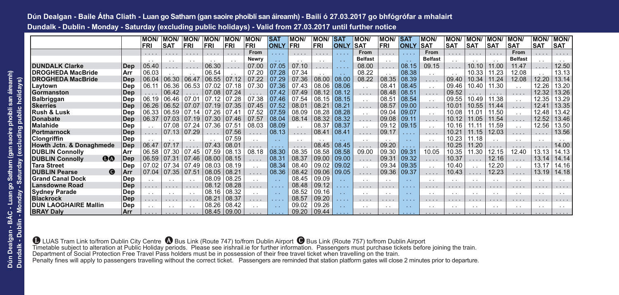# **Dún Dealgan - Baile Átha Cliath - Luan go Satharn (gan saoire phoiblí san áireamh) - Bailí ó 27.03.2017 go bhfógrófar a mhalairt Dundalk - Dublin - Monday - Saturday (excluding public holidays) - Valid from 27.03.2017 until further notice**

|                                               |             | <b>MON</b>      | <b>MON</b>      | <b>MON/</b>     | <b>MON/</b>     | <b>MON</b>      | <b>MON</b>   | <b>SAT</b>  | <b>MON</b>      | <b>MON/</b>     | <b>SAT</b>  | MON/            | <b>MON/</b>     | <b>SAT</b>    | <b>MON</b>           | <b>MON/</b>     | <b>MON</b>      | <b>MON/</b>     | <b>MON</b>      | <b>MON/</b>     | <b>MON</b>      |
|-----------------------------------------------|-------------|-----------------|-----------------|-----------------|-----------------|-----------------|--------------|-------------|-----------------|-----------------|-------------|-----------------|-----------------|---------------|----------------------|-----------------|-----------------|-----------------|-----------------|-----------------|-----------------|
|                                               |             | <b>FRI</b>      | <b>SAT</b>      | <b>FRI</b>      | FRI             | FRI             | FRI          | <b>ONLY</b> | FRI             | <b>FRI</b>      | <b>ONLY</b> | <b>SAT</b>      | <b>FRI</b>      | <b>ONLY</b>   | <b>SAT</b>           | <b>SAT</b>      | <b>SAT</b>      | <b>SAT</b>      | <b>SAT</b>      | <b>SAT</b>      | <b>SAT</b>      |
|                                               |             |                 | $\cdots$        | .               | .               | .               | From         | .           | $\cdots$        | 1.1.1           | 1.1.1       | From            |                 | 1.1.1.1       | From                 | .               |                 | $\cdots$        | From            | .               | .               |
|                                               |             | $\sim$          | $\cdot$ $\cdot$ | $\cdot$ $\cdot$ | $\cdot$ $\cdot$ | $\cdot$ $\cdot$ | <b>Newry</b> | $\sim$      | $\cdot$ $\cdot$ | $\cdot$ $\cdot$ | $\sim$      | <b>Belfast</b>  | $\cdot$ $\cdot$ | $\sim$        | <b>Belfast</b>       | $\cdot$ $\cdot$ | $\cdot$ $\cdot$ | $\cdot$ .       | <b>Belfast</b>  | $\cdot$ $\cdot$ | $\cdot$ $\cdot$ |
| <b>DUNDALK Clarke</b>                         | $\sf l$ Dep | 05.40           | .               | .               | 06.30           | .               | 07.00        | 07.05       | 07.10           | .               | 1.1.1       | 08.00           | .               | 08.15         | 09.15                | .               | 10.10           | 11.00           | 11.47           | .               | 12.50           |
| <b>DROGHEDA MacBride</b>                      | Arr         | 06.03           |                 | $\cdot$ $\cdot$ | 06.54           | $\cdot$ $\cdot$ | 07.20        | 07.28       | 07.34           |                 | $\sim$      | 08.22           | $\cdot$ $\cdot$ | 08.38         | $\sim$               | $\cdot$ $\cdot$ | 10.33           | 11.23           | 12.08           | $\cdot$ $\cdot$ | 13.13           |
| <b>DROGHEDA MacBride</b>                      | Dep         | 06.04           | 06.30           | 06.47           | 06.55           | 07.12           | 07.22        | 07.29       | 07.36           | 08.00           | 08.00       | 08.22           | 08.35           | 08.39         | .                    | 09.40           | 10.34           | 11.24           | 12.08           | 12.20           | 13.14           |
| Laytown                                       | Dep         | 06.11           | 06.36           | 06.53           | 07.02           | 07.18           | 07.30        | 07.36       | 07.43           | 08.06           | 08.06       | $\cdot$ $\cdot$ | 08.41           | 08.45         | $\sim$               | 09.46           | 10.40           | 11.30           | $\sim$          | 12.26           | 13.20           |
| Gormanston                                    | Dep         | .               | 06.42           |                 | 07.08           | 07.24           |              | 07.42       | 07.49           | 08.12           | 08.12       | $\cdots$        | 08.48           | 08.51         | $\sim$ $\sim$        | 09.52           | $\cdot$ $\cdot$ |                 | $\cdots$        | 12.32           | 13.26           |
| <b>Balbriggan</b>                             | Dep         | 06.19           | 06.46           | 07.01           | 07<br>.12       | 07.28           | 07.38        | 07.46       | 07.54           | 08.15           | 08.15       | $\cdot$ $\cdot$ | 08.51           | 08.54         | $\ddot{\phantom{0}}$ | 09.55           | 10.49           | 11.38           | $\sim$          | 12.35           | 13.29           |
| <b>Skerries</b>                               | Dep         | 06.26           | 06.52           | 07.07           | 07<br>$-19$     | 07.35           | 07.45        | 07.52       | 08.01           | 08.21           | 08.21       |                 | 08.57           | 09.00         | .                    | 10.01           | 10.55           | 11.44           | $\cdots$        | 12.41           | 13.35           |
| Rush & Lusk                                   | Dep         | 06.33           | 06.59           | 07.14           | 07<br>26        | 07.41           | 07.52        | 07.59       | 08.09           | 08.28           | 08.28       | $\cdot$ $\cdot$ | 09.04           | 09.07         | $\sim$               | 10.08           | 11.01           | 11.50           | $\cdot$ $\cdot$ | 12.48           | 13.42           |
| <b>Donabate</b>                               | Dep         | 06.37           | 07.03           | 07.19           | 07.30           | 07.46           | 07.57        | 08.04       | 08.14           | 08.32           | 08.32       | $\cdots$        | 09.08           | 09.11         | .                    | 10.12           | 11.05           | 11.54           | $\cdots$        | 12.52           | 13.46           |
| Malahide                                      | Dep         |                 | 07.08           | 07.24           | 07.36           | 07.51           | 08.03        | 08.09       | $\cdot$ .       | 08.37           | 08.37       | . .             | 09.12           | 09.15         | $\cdot$ $\cdot$      | 10.16           | 11.11           | 11.59           | $\sim$          | 12.56           | 13.50           |
| <b>Portmarnock</b>                            | Dep         | .               | 07.13           | 07.29           | .               | 07.56           | $\cdots$     | 08.13       | .               | 08.41           | 08.41       | .               | 09.17           |               | $\cdots$             | 10.21           | 11.15           | 12.03           | $\cdots$        | $\cdots$        | 13.56           |
| <b>Clongriffin</b>                            | Dep         |                 | $\cdot$ $\cdot$ | $\sim$          |                 | 07.59           |              | $\sim$      | $\sim$          |                 | $\sim$      | $\cdot$ $\cdot$ | $\sim$          | $\sim 100$    | $\cdot$ $\cdot$      | 10.23           | 11.18           | $\cdot$ .       | $\cdot$ $\cdot$ | $\cdot$ $\cdot$ | $\cdot$ $\cdot$ |
| Howth Jctn. & Donaghmede                      | ∣Dep        | 06.47           | 07.17           |                 | 07.43           | 08.01           | .            | .           | .               | 08.45           | 08.45       | $\cdots$        | 09.20           | 1.1.1.1       | $\cdots$             | 10.25           | 11.20           | .               | .               | .               | 14.00           |
| <b>DUBLIN Connolly</b>                        | Arr         | 06.58           | 07.30           | 07.45           | 07.59           | 08.13           | 08.18        | 08.30       | 08.35           | 08.58           | 08.58       | 09.00           | 09.30           | 09.31         | 10.05                | 10.35           | 11.30           | 12.15           | 12.40           | 13.13           | 14.13           |
| <b>OQ</b><br><b>DUBLIN Connolly</b>           | Dep         | 06.59           | 07.31           | 07.46           | 08.00           | 08.15           | .            | 08.31       | 08.37           | 09.00           | 09.00       | $\cdots$        | 09.31           | 09.32         | .                    | 10.37           | .               | 12.16           | 1.1.1           | 13.14           | 14.14           |
| <b>Tara Street</b>                            | Dep         | 07.02           | 07.34           | 07.49           | 08.03           | 08.19           | $\cdot$ .    | 08.34       | 08.40           | 09.02           | 09.02       | $\cdot$ .       | 09.34           | 09.35         | $\sim$               | 10.40           | $\cdot$ .       | 12.20           | $\sim$          | 13.17           | 14.16           |
| $\boldsymbol{\Theta}$<br><b>DUBLIN Pearse</b> | l Arr       | 07.04           | 07.35           | 07.51           | 08.05           | 08.21           | .            | 08.36       | 08.42           | 09.06           | 09.05       | $\cdots$        | 09.36           | 09.37         | .                    | 10.43           | .               | 12.23           | 1.1.1           | 13.19           | 14.18           |
| <b>Grand Canal Dock</b>                       | Dep         | $\cdot$ $\cdot$ | $\cdot$ .       | $\cdot$ $\cdot$ | 08.09           | 08.25           | $\cdot$ .    | $\sim$      | 08.45           | 09.09           | $\sim$      | $\cdot$ .       | $\cdot$ .       | $\sim$        | $\sim$               | $\cdot$ $\cdot$ | $\cdot$ $\cdot$ | $\cdot$ $\cdot$ | $\sim$          | $\cdot$ $\cdot$ | $\cdot$ $\cdot$ |
| Lansdowne Road                                | $\sf Dep$   | 1.1.1           | .               | .               | 08.12           | 08.28           | .            | 1.1.1       | 08.48           | 09.12           | .           | 1.1.1           | .               | 1.1.1.1       | $\cdots$             | .               |                 |                 | 1.1.1           | $\cdots$        |                 |
| <b>Sydney Parade</b>                          | Dep         | $\cdot$ $\cdot$ | $\cdot$ $\cdot$ | $\cdot$ .       | 08.16           | 08.32           | $\sim$       | $\sim$      | 08.52           | 09.16           | $\sim$      | $\cdot$ $\cdot$ | $\sim$          | $\sim$        | $\sim$               | $\cdot$ $\cdot$ | $\cdot$ .       | $\cdot$ $\cdot$ | $\sim$          | $\cdot$ $\cdot$ | $\cdot$ $\cdot$ |
| <b>Blackrock</b>                              | $\sf Dep$   | .               | .               | .               | 08.21           | 08.37           | .            |             | 08.57           | 09.20           | .           | $\cdots$        | $\cdots$        |               | $\cdots$             | $\cdots$        | $\cdots$        | .               | $\cdots$        | .               | .               |
| <b>DUN LAOGHAIRE Mallin</b>                   | Dep         | $\cdot$ $\cdot$ | $\cdot$ $\cdot$ | $\sim$          | 08.26           | 08.42           | $\sim$       | $\sim$      | 09.02           | 09.26           | $\sim$      | $\cdot$ $\cdot$ | $\sim$          | $\sim$ $\sim$ | $\cdot$ $\cdot$      | $\cdot$ $\cdot$ | $\cdot$ .       | $\cdot$ .       | $\sim$          | $\sim$          | $\cdot$ .       |
| <b>BRAY Daly</b>                              | <b>Arr</b>  |                 |                 |                 | 08.45           | 09.00           |              |             | 09.20           | 09.44           |             |                 |                 |               |                      |                 |                 |                 |                 |                 |                 |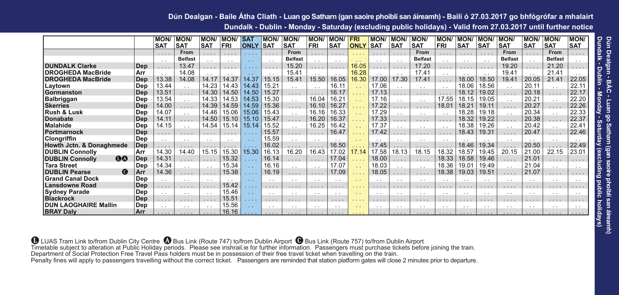#### **Dún Dealgan - Baile Átha Cliath - Luan go Satharn (gan saoire phoiblí san áireamh) - Bailí ó 27.03.2017 go bhfógrófar a mhalairt Dundalk - Dublin - Monday - Saturday (excluding public holidays) - Valid from 27.03.2017 until further notice**

|                                               |            | <b>MON/</b>     | <b>MON</b>      | <b>MON/</b> | <b>MON/</b>     | <b>SAT</b>                                          | <b>MON</b>      | <b>MON</b>      | <b>MON</b>           | <b>MON/</b>          | <b>FRI</b>           | <b>MON</b> | <b>MON/</b>     | <b>MON</b>      | <b>MON</b>      | MON.            | <b>MON</b>      | <b>MON</b>      | <b>MON</b>      | <b>MON</b>      | <b>MON/</b>     |
|-----------------------------------------------|------------|-----------------|-----------------|-------------|-----------------|-----------------------------------------------------|-----------------|-----------------|----------------------|----------------------|----------------------|------------|-----------------|-----------------|-----------------|-----------------|-----------------|-----------------|-----------------|-----------------|-----------------|
|                                               |            | <b>SAT</b>      | <b>SAT</b>      | <b>SAT</b>  | FRI             | <b>ONLY</b>                                         | <b>SAT</b>      | <b>SAT</b>      | <b>FRI</b>           | <b>SAT</b>           | <b>ONLY</b>          | <b>SAT</b> | <b>SAT</b>      | <b>SAT</b>      | <b>FRI</b>      | <b>SAT</b>      | <b>SAT</b>      | <b>SAT</b>      | <b>SAT</b>      | <b>SAT</b>      | <b>SAT</b>      |
|                                               |            | $\cdots$        | From            | 1.1.1       | $\cdots$        | 1.1.1.1                                             | 1.1.1           | From            | $\cdots$             | 1.1.1                | 1.1.1                | 1.1.1      | $\cdots$        | From            |                 | $\cdots$        | $\cdots$        | From            |                 | From            | .               |
|                                               |            | $\sim$          | <b>Belfast</b>  | $\sim$      | $\sim$          | $\sim$ $\sim$                                       | $\sim$          | <b>Belfast</b>  | $\cdot$ $\cdot$      | $\cdot$ $\cdot$      | $\sim$ $\sim$        | $\sim$     | $\sim$          | <b>Belfast</b>  | $\cdot$ .       | $\sim$ $\sim$   | $\sim$          | <b>Belfast</b>  | $\cdot$ .       | <b>Belfast</b>  | $\cdot$ $\cdot$ |
| <b>DUNDALK Clarke</b>                         | Dep        | $\cdots$        | 13.47           | .           | .               | 1.1.1.1                                             | $\cdots$        | 15.20           | .                    | .                    | 16.05                | $\cdots$   | $\cdots$        | 17.20           | .               | .               | $\cdots$        | 19.20           |                 | 21.20           | .               |
| <b>IDROGHEDA MacBride</b>                     | Arr        | $\sim$          | 14.08           |             | . .             | $\sim$                                              | $\sim$          | 15.41           | $\cdot$ $\cdot$      | $\cdot$ $\cdot$      | 16.28                |            |                 | 17.41           | $\cdot$ .       |                 | $\sim$          | 19.41           |                 | 21.41           | $\cdot$ $\cdot$ |
| <b>DROGHEDA MacBride</b>                      | <b>Dep</b> | 13.38           | 14.08           | 14.17       | 14.37           | 14.37                                               | 15.15           | 15.41           | 15.50                | 16.05                | 16.30                | 17.00      | 17.30           | 17.41           | .               | 18.00           | 18.50           | 19.41           | 20.05           | 21.41           | 22.05           |
| Laytown                                       | Dep        | 13.44           | $\cdot$ $\cdot$ | 14.23       | 14.43           | 14.43                                               | 15.21           | $\cdot$ $\cdot$ | $\cdot$ .            | 16.11                |                      | 17.06      | . .             | $\cdot$ $\cdot$ | $\cdot$ .       | 18.06           | 18.56           | $\cdot$ $\cdot$ | 20.11           | $\cdot$ $\cdot$ | 22.11           |
| <b>Gormanston</b>                             | Dep        | 13.51           | .               | 14.30       | 14.50           | 14.50                                               | 15.27           | .               | $\cdots$             | 16.17                |                      | 17.13      |                 | .               |                 | 18.12           | 19.02           |                 | 20.18           | .               | 22.17           |
| Balbriggan                                    | Dep        | 13.54           | $\cdot$ $\cdot$ | 14.33       | 14.53           | 14.53                                               | 15.30           | $\cdot$ $\cdot$ | 16.04                | 16.21                |                      | 17.16      | $\sim$          | $\cdot$ $\cdot$ | 17.55           | 18.15           | 19.05           | $\cdot$ $\cdot$ | 20.21           | $\cdot$ $\cdot$ | 22.20           |
| <b>Skerries</b>                               | Dep        | 14.00           | .               | 14.39       | 14.59           | 14.59                                               | 15.36           | .               | 16.10                | 16.27                |                      | 17.22      |                 |                 | 18.01           | 18.21           | 19.11           | .               | 20.27           | .               | 22.26           |
| <b>Rush &amp; Lusk</b>                        | Dep        | 14.07           | $\cdot$ $\cdot$ | 14.46       | 15.06           | 15.06                                               | 15.43           | $\cdot$ $\cdot$ | 16.16                | 16.33                |                      | 17.29      |                 | $\cdot$ $\cdot$ | $\sim$          | 18.28           | 19.18           |                 | 20.34           | $\cdot$ $\cdot$ | 22.33           |
| <b>Donabate</b>                               | Dep        | 14.11           | .               | 14.50       | 15.10           | 15.10                                               | 15.47           | .               | 16.20                | 16.37                |                      | 17.33      |                 | .               | $\cdots$        | 18.32           | 19.22           | .               | 20.38           | .               | 22.37           |
| <b>Malahide</b>                               | Dep        | 14.15           | $\cdot$ .       | 14.54       | 15.14           | 15.14                                               | 15.52           | $\ddotsc$       | 16.25                | 16.42                |                      | 17.37      |                 | $\cdot$ .       | $\cdot$ .       | 18.38           | 19.26           | $\cdot$ $\cdot$ | 20.42           | $\cdot$ .       | 22.41           |
| <b>Portmarnock</b>                            | Dep        | $\cdots$        | .               | $\cdots$    | $\cdots$        | $\mathbf{v} = \mathbf{v} + \mathbf{v} + \mathbf{v}$ | 15.57           | .               | $\cdots$             | 16.47                | .                    | 17.42      | $\cdots$        | .               | $\cdots$        | 18.43           | 19.31           |                 | 20.47           | .               | 22.46           |
| Clongriffin                                   | Dep        | $\sim$          | $\cdot$ $\cdot$ | . .         | $\cdot$ $\cdot$ | $\sim$                                              | 15.59           | $\cdot$ $\cdot$ | $\ddot{\phantom{0}}$ | $\cdot$ $\cdot$      |                      | $\cdot$ .  | $\cdot$ $\cdot$ | $\cdot$ $\cdot$ | $\sim$          |                 | $\cdot$ .       | $\cdot$ $\cdot$ |                 | $\cdot$ $\cdot$ | $\cdot$ $\cdot$ |
| Howth Jctn. & Donaghmede                      | Dep        | .               | .               | $\cdots$    | $\cdots$        | 1.1.1                                               | 16.02           | $\cdots$        | $\cdots$             | 16.50                |                      | 17.45      |                 | .               | $\cdots$        | 18.46           | 19.34           | .               | 20.50           | .               | 22.49           |
| <b>DUBLIN Connolly</b>                        | Arr        | 14.30           | 14.40           | 15.15       | 15.30           | 15.30                                               | 16.13           | 16.20           | 16.43                | 17.02                | 17.14                | 17.58      | 18.13           | 18.15           | 18.32           | 18.57           | 19.45           | 20.15           | 21.00           | 22.15           | 23.01           |
| $\bf{00}$<br><b>DUBLIN Connolly</b>           | Dep        | 14.31           | 1.1.1           | $\cdots$    | 15.32           | .                                                   | 16.14           | .               | $\cdots$             | 17.04                |                      | 18.00      | 1.1.1           | .               | 18.33           | 18.58           | 19.46           | .               | 21.01           | 1.1.1           | 1.1.1           |
| Tara Street                                   | Dep        | 14.34           | $\cdot$ $\cdot$ | $\sim$      | 15.34           | $\sim$                                              | 16.16           | $\cdot$ $\cdot$ | $\cdot$ $\cdot$      | 17.07                |                      | 18.03      | $\sim$          | $\cdot$ $\cdot$ | 18.36           | 19.01           | 19.49           | $\cdot$ $\cdot$ | 21.04           | $\sim$          | $\cdot$ $\cdot$ |
| $\boldsymbol{\Theta}$<br><b>DUBLIN Pearse</b> | Arr        | 14.36           | .               | $\cdots$    | 15.38           | 1.1.1                                               | 16.19           | .               | .                    | 17.09                | .                    | 18.05      |                 |                 | 18.38           | 19.03           | 19.51           |                 | 21.07           | .               | $\cdots$        |
| <b>Grand Canal Dock</b>                       | Dep        | $\sim$          | $\cdot$ $\cdot$ |             | . .             | $\sim$                                              | $\cdot$ $\cdot$ | $\cdot$ $\cdot$ | $\sim$               | $\sim$               | $\sim$               | $\cdot$ .  | $\sim$          | $\cdot$ .       | $\cdot$ $\cdot$ | $\cdot$ .       | $\sim$          |                 | . .             | $\sim$          | $\cdot$ $\cdot$ |
| Lansdowne Road                                | Dep        | $\cdots$        | .               | $\cdots$    | 15.42           | 1.1.1.1                                             | 1.1.1           | $\cdots$        | $\cdots$             | 1.1.1                | .                    | 1.1.1      | 1.1.1           | .               | 1.1.1           | .               | 1.1.1           | .               | .               | $\cdots$        | 1.1.1           |
| <b>Sydney Parade</b>                          | Dep        | $\cdot$ $\cdot$ | $\cdot$ $\cdot$ |             | 15.46           | $\sim$                                              | $\cdot$ $\cdot$ | $\cdot$ $\cdot$ | $\sim$               | $\cdot$ $\cdot$      | $\sim$               | $\cdot$ .  | $\cdot$ $\cdot$ | $\cdot$ $\cdot$ | $\sim$          | $\sim$          | $\cdot$ $\cdot$ | $\cdot$ $\cdot$ | $\sim$          | $\cdot$ $\cdot$ | $\cdot$ $\cdot$ |
| <b>Blackrock</b>                              | Dep        | .               | $\cdots$        | $\cdots$    | 15.51           | .                                                   | .               | $\cdots$        | $\cdots$             | .                    | .                    | .          | $\cdots$        | .               | $\cdots$        | .               | $\cdots$        | $\cdots$        | $\cdots$        | $\cdots$        | .               |
| <b>DUN LAOGHAIRE Mallin</b>                   | Dep        | $\cdot$ $\cdot$ | $\cdot$ $\cdot$ |             | 15.56           |                                                     | $\cdot$ $\cdot$ | $\cdot$ $\cdot$ | $\sim$               | $\ddot{\phantom{0}}$ | $\ddot{\phantom{1}}$ | $\cdot$ .  | $\cdot$ $\cdot$ | $\cdot$ $\cdot$ | $\cdot$ .       | $\cdot$ $\cdot$ | $\cdot$ .       | $\cdot$ $\cdot$ | $\cdot$ $\cdot$ | $\cdot$ .       | $\cdot$ .       |
| <b>BRAY Daly</b>                              | Arr        |                 |                 |             | 16.16           |                                                     |                 | 1.1.1           |                      |                      | .                    | $\cdots$   |                 | 1.1.1.1         |                 |                 |                 |                 |                 |                 |                 |